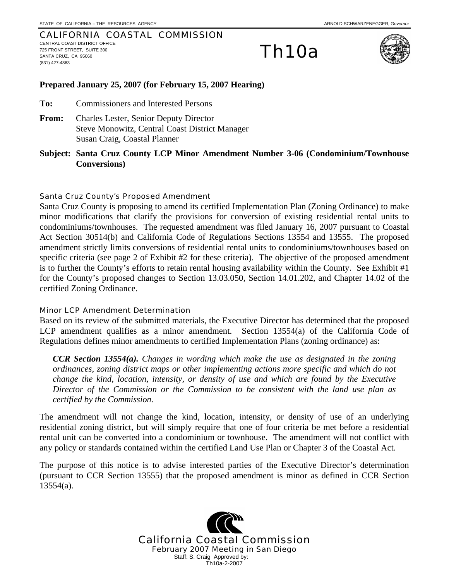### CALIFORNIA COASTAL COMMISSION CENTRAL COAST DISTRICT OFFICE 725 FRONT STREET, SUITE 300 SANTA CRUZ, CA 95060 (831) 427-4863

# Th10a



## **Prepared January 25, 2007 (for February 15, 2007 Hearing)**

**To:** Commissioners and Interested Persons

- **From:** Charles Lester, Senior Deputy Director Steve Monowitz, Central Coast District Manager Susan Craig, Coastal Planner
- **Subject: Santa Cruz County LCP Minor Amendment Number 3-06 (Condominium/Townhouse Conversions)**

### Santa Cruz County's Proposed Amendment

Santa Cruz County is proposing to amend its certified Implementation Plan (Zoning Ordinance) to make minor modifications that clarify the provisions for conversion of existing residential rental units to condominiums/townhouses. The requested amendment was filed January 16, 2007 pursuant to Coastal Act Section 30514(b) and California Code of Regulations Sections 13554 and 13555. The proposed amendment strictly limits conversions of residential rental units to condominiums/townhouses based on specific criteria (see page 2 of Exhibit #2 for these criteria). The objective of the proposed amendment is to further the County's efforts to retain rental housing availability within the County. See Exhibit #1 for the County's proposed changes to Section 13.03.050, Section 14.01.202, and Chapter 14.02 of the certified Zoning Ordinance.

## Minor LCP Amendment Determination

Based on its review of the submitted materials, the Executive Director has determined that the proposed LCP amendment qualifies as a minor amendment. Section 13554(a) of the California Code of Regulations defines minor amendments to certified Implementation Plans (zoning ordinance) as:

*CCR Section 13554(a). Changes in wording which make the use as designated in the zoning ordinances, zoning district maps or other implementing actions more specific and which do not change the kind, location, intensity, or density of use and which are found by the Executive Director of the Commission or the Commission to be consistent with the land use plan as certified by the Commission.* 

The amendment will not change the kind, location, intensity, or density of use of an underlying residential zoning district, but will simply require that one of four criteria be met before a residential rental unit can be converted into a condominium or townhouse. The amendment will not conflict with any policy or standards contained within the certified Land Use Plan or Chapter 3 of the Coastal Act.

The purpose of this notice is to advise interested parties of the Executive Director's determination (pursuant to CCR Section 13555) that the proposed amendment is minor as defined in CCR Section 13554(a).

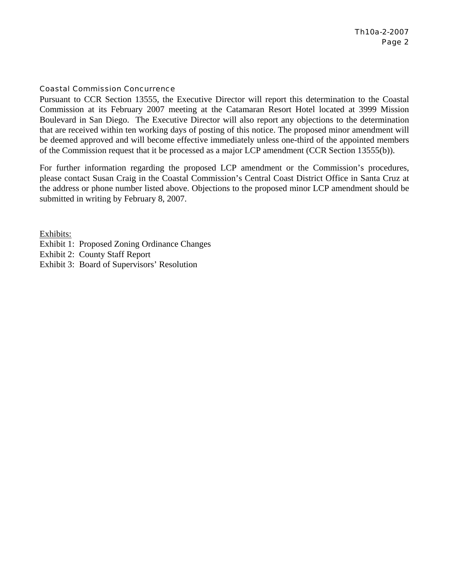## Coastal Commission Concurrence

Pursuant to CCR Section 13555, the Executive Director will report this determination to the Coastal Commission at its February 2007 meeting at the Catamaran Resort Hotel located at 3999 Mission Boulevard in San Diego. The Executive Director will also report any objections to the determination that are received within ten working days of posting of this notice. The proposed minor amendment will be deemed approved and will become effective immediately unless one-third of the appointed members of the Commission request that it be processed as a major LCP amendment (CCR Section 13555(b)).

For further information regarding the proposed LCP amendment or the Commission's procedures, please contact Susan Craig in the Coastal Commission's Central Coast District Office in Santa Cruz at the address or phone number listed above. Objections to the proposed minor LCP amendment should be submitted in writing by February 8, 2007.

Exhibits:

Exhibit 1: Proposed Zoning Ordinance Changes

Exhibit 2: County Staff Report

Exhibit 3: Board of Supervisors' Resolution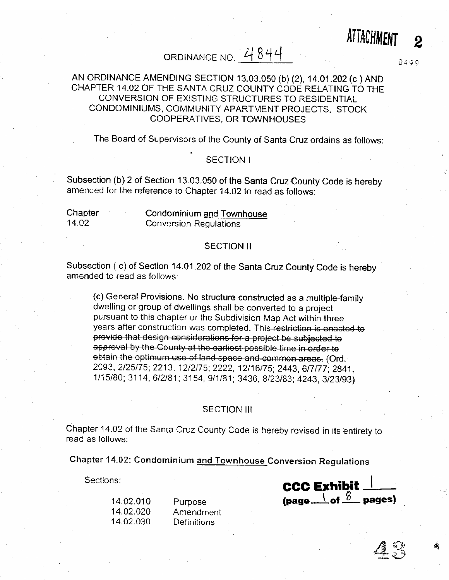## ATTACHMENT  $\bf{2}$

# ORDINANCE NO. 4844

## AN ORDINANCE AMENDING SECTION 13.03.050 (b) (2), 14.01.202 (c) AND CHAPTER 14.02 OF THE SANTA CRUZ COUNTY CODE RELATING TO THE CONVERSION OF EXISTING STRUCTURES TO RESIDENTIAL CONDOMINIUMS, COMMUNITY APARTMENT PROJECTS, STOCK COOPERATIVES, OR TOWNHOUSES

The Board of Supervisors of the County of Santa Cruz ordains as follows:

## **SECTION I**

Subsection (b) 2 of Section 13.03.050 of the Santa Cruz County Code is hereby amended for the reference to Chapter 14.02 to read as follows:

Chapter 14.02

**Condominium and Townhouse Conversion Requlations** 

## **SECTION II**

Subsection (c) of Section 14.01.202 of the Santa Cruz County Code is hereby amended to read as follows:

(c) General Provisions. No structure constructed as a multiple-family dwelling or group of dwellings shall be converted to a project pursuant to this chapter or the Subdivision Map Act within three years after construction was completed. This restriction is enacted to provide that design considerations for a project be subjected to approval by the County at the earliest possible time in order to obtain the optimum use of land space and common areas. (Ord. 2093, 2/25/75; 2213, 12/2/75; 2222, 12/16/75; 2443, 6/7/77; 2841, 1/15/80; 3114, 6/2/81; 3154, 9/1/81; 3436, 8/23/83; 4243, 3/23/93)

### **SECTION III**

Chapter 14.02 of the Santa Cruz County Code is hereby revised in its entirety to read as follows:

Chapter 14.02: Condominium and Townhouse Conversion Regulations

Sections:

14.02.010 Purpose 14.02.020 Amendment 14.02.030 Definitions



0490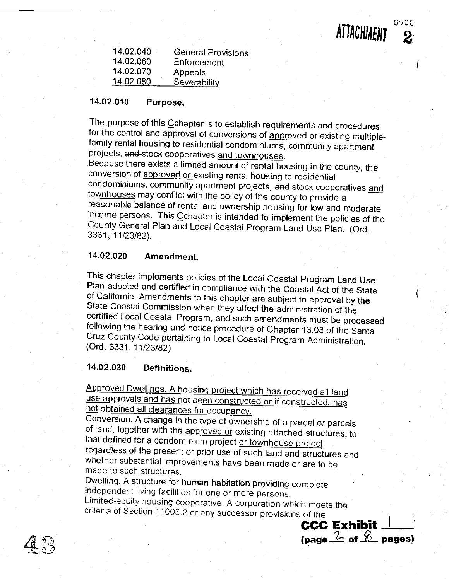0500 ATTACHMENT

| 14.02.040 | <b>General Provisions</b> |
|-----------|---------------------------|
| 14.02.060 | Enforcement               |
| 14.02.070 | Appeals                   |
| 14.02.080 | Severability              |

#### 14.02.010 Purpose.

The purpose of this Cehapter is to establish requirements and procedures for the control and approval of conversions of approved or existing multiplefamily rental housing to residential condominiums, community apartment projects, and stock cooperatives and townhouses.

Because there exists a limited amount of rental housing in the county, the conversion of approved or existing rental housing to residential condominiums, community apartment projects, and stock cooperatives and townhouses may conflict with the policy of the county to provide a reasonable balance of rental and ownership housing for low and moderate income persons. This Cehapter is intended to implement the policies of the County General Plan and Local Coastal Program Land Use Plan. (Ord. 3331, 11/23/82).

#### 14.02.020 Amendment

This chapter implements policies of the Local Coastal Program Land Use Plan adopted and certified in compliance with the Coastal Act of the State of California. Amendments to this chapter are subject to approval by the State Coastal Commission when they affect the administration of the certified Local Coastal Program, and such amendments must be processed following the hearing and notice procedure of Chapter 13.03 of the Santa Cruz County Code pertaining to Local Coastal Program Administration. (Ord. 3331, 11/23/82)

#### 14.02.030 Definitions.

Approved Dwellings. A housing project which has received all land use approvals and has not been constructed or if constructed, has not obtained all clearances for occupancy.

Conversion. A change in the type of ownership of a parcel or parcels of land, together with the approved or existing attached structures, to that defined for a condominium project or townhouse project regardless of the present or prior use of such land and structures and whether substantial improvements have been made or are to be made to such structures.

Dwelling. A structure for human habitation providing complete independent living facilities for one or more persons. Limited-equity housing cooperative. A corporation which meets the criteria of Section 11003.2 or any successor provisions of the

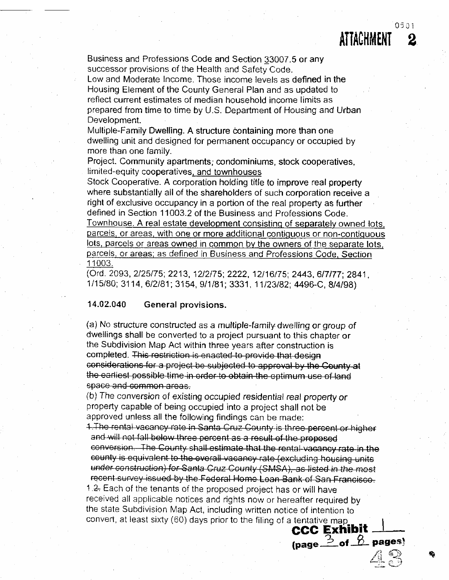0501 ATTACHMENT

Business and Professions Code and Section 33007.5 or any successor provisions of the Health and Safety Code.

Low and Moderate Income. Those income levels as defined in the Housing Element of the County General Plan and as updated to reflect current estimates of median household income limits as prepared from time to time by U.S. Department of Housing and Urban Development.

Multiple-Family Dwelling. A structure containing more than one dwelling unit and designed for permanent occupancy or occupied by more than one family.

Project. Community apartments; condominiums, stock cooperatives, limited-equity cooperatives, and townhouses

Stock Cooperative. A corporation holding title to improve real property where substantially all of the shareholders of such corporation receive a right of exclusive occupancy in a portion of the real property as further defined in Section 11003.2 of the Business and Professions Code.

Townhouse. A real estate development consisting of separately owned lots. parcels, or areas, with one or more additional contiguous or non-contiguous lots, parcels or areas owned in common by the owners of the separate lots. parcels, or areas; as defined in Business and Professions Code, Section 11003.

(Ord. 2093, 2/25/75; 2213, 12/2/75; 2222, 12/16/75; 2443, 6/7/77; 2841, 1/15/80; 3114, 6/2/81; 3154, 9/1/81; 3331, 11/23/82; 4496-C, 8/4/98)

#### 14.02.040 General provisions.

(a) No structure constructed as a multiple-family dwelling or group of dwellings shall be converted to a project pursuant to this chapter or the Subdivision Map Act within three years after construction is completed. This restriction is enacted to provide that design considerations for a project be subjected to approval by the County at the earliest possible time in order to obtain the optimum use of land space and common areas.

(b) The conversion of existing occupied residential real property or property capable of being occupied into a project shall not be approved unless all the following findings can be made:

4. The rental vasancy rate in Santa Cruz County is three percent or higher and will not fall below three percent as a result of the proposed conversion. The County shall estimate that the rental-vacancy rate in the county is equivalent to the overall vacancy rate (excluding housing units under construction) for Santa Cruz County (SMSA), as listed in the most recent survey issued by the Federal Home Loan Bank of San Francisco. 1.2. Each of the tenants of the proposed project has or will have received all applicable notices and rights now or hereafter required by the state Subdivision Map Act, including written notice of intention to convert, at least sixty (60) days prior to the filing of a tentative map **CCC Exhibit** 

(page  $\frac{3}{2}$  of  $\frac{6}{2}$  pages)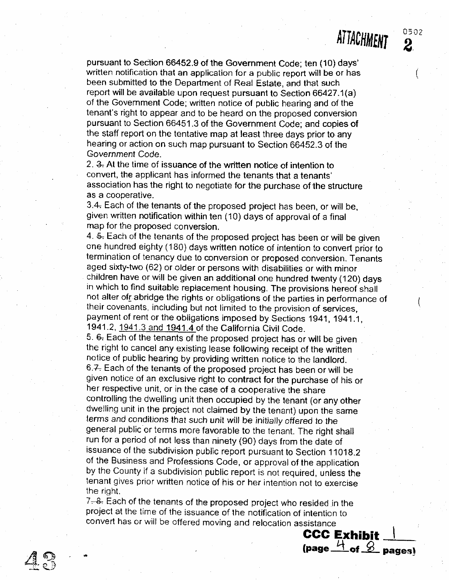pursuant to Section 66452.9 of the Government Code; ten (10) days' written notification that an application for a public report will be or has been submitted to the Department of Real Estate, and that such report will be available upon request pursuant to Section 66427.1(a) of the Government Code; written notice of public hearing and of the tenant's right to appear and to be heard on the proposed conversion pursuant to Section 66451.3 of the Government Code; and copies of the staff report on the tentative map at least three days prior to any hearing or action on such map pursuant to Section 66452.3 of the Government Code.

2. 3. At the time of issuance of the written notice of intention to convert, the applicant has informed the tenants that a tenants' association has the right to negotiate for the purchase of the structure as a cooperative.

3.4. Each of the tenants of the proposed project has been, or will be, given written notification within ten (10) days of approval of a final map for the proposed conversion.

4. 5. Each of the tenants of the proposed project has been or will be given one hundred eighty (180) days written notice of intention to convert prior to termination of tenancy due to conversion or proposed conversion. Tenants aged sixty-two (62) or older or persons with disabilities or with minor children have or will be given an additional one hundred twenty (120) days in which to find suitable replacement housing. The provisions hereof shall not alter of abridge the rights or obligations of the parties in performance of their covenants, including but not limited to the provision of services, payment of rent or the obligations imposed by Sections 1941, 1941.1, 1941.2, 1941.3 and 1941.4 of the California Civil Code.

5. 6. Each of the tenants of the proposed project has or will be given the right to cancel any existing lease following receipt of the written notice of public hearing by providing written notice to the landlord. 6.7. Each of the tenants of the proposed project has been or will be given notice of an exclusive right to contract for the purchase of his or her respective unit, or in the case of a cooperative the share controlling the dwelling unit then occupied by the tenant (or any other dwelling unit in the project not claimed by the tenant) upon the same terms and conditions that such unit will be initially offered to the general public or terms more favorable to the tenant. The right shall run for a period of not less than ninety (90) days from the date of issuance of the subdivision public report pursuant to Section 11018.2 of the Business and Professions Code, or approval of the application by the County if a subdivision public report is not required, unless the tenant gives prior written notice of his or her intention not to exercise the right.

7-8. Each of the tenants of the proposed project who resided in the project at the time of the issuance of the notification of intention to convert has or will be offered moving and relocation assistance



0502 2

ATTACHMENT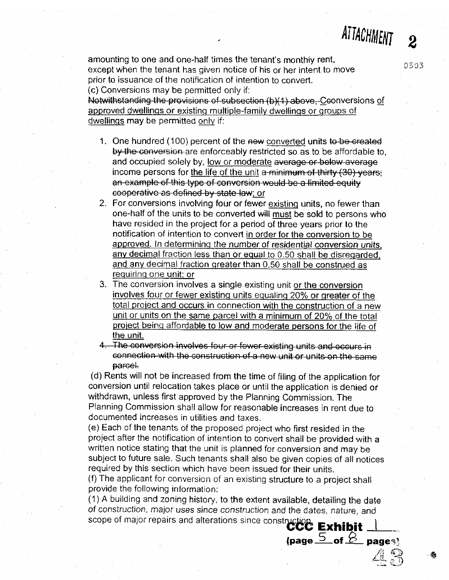ATTACHMENT

amounting to one and one-half times the tenant's monthiv rent, except when the tenant has given notice of his or her intent to move prior to issuance of the notification of intention to convert. (c) Conversions may be permitted only if:

Notwithstanding the provisions of subsection (b)(1) above, Ceonversions of approved dwellings or existing multiple-family dwellings or groups of dwellings may be permitted only if:

- 1. One hundred (100) percent of the new converted units to be created by the conversion are enforceably restricted so as to be affordable to. and occupied solely by, low or moderate average or below average income persons for the life of the unit a minimum of thirty (30) years. an example of this type of conversion would be a limited equity cooperative as defined by state law; or
- 2. For conversions involving four or fewer existing units, no fewer than one-half of the units to be converted will must be sold to persons who have resided in the project for a period of three years prior to the notification of intention to convert in order for the conversion to be approved. In determining the number of residential conversion units. any decimal fraction less than or equal to 0.50 shall be disregarded. and any decimal fraction greater than 0.50 shall be construed as requiring one unit; or
- 3. The conversion involves a single existing unit or the conversion involves four or fewer existing units equaling 20% or greater of the total project and occurs in connection with the construction of a new unit or units on the same parcel with a minimum of 20% of the total project being affordable to low and moderate persons for the life of the unit.
- 4. The conversion involves four or fewer existing units and occurs in connection with the construction of a new unit or units on the same parcel.

(d) Rents will not be increased from the time of filing of the application for conversion until relocation takes place or until the application is denied or withdrawn, unless first approved by the Planning Commission. The Planning Commission shall allow for reasonable increases in rent due to documented increases in utilities and taxes.

(e) Each of the tenants of the proposed project who first resided in the project after the notification of intention to convert shall be provided with a written notice stating that the unit is planned for conversion and may be subject to future sale. Such tenants shall also be given copies of all notices required by this section which have been issued for their units.

(f) The applicant for conversion of an existing structure to a project shall provide the following information:

(1) A building and zoning history, to the extent available, detailing the date of construction, major uses since construction and the dates, nature, and or construction, major cost stress constructions since constructions **Exhibit**.

(page  $\frac{5}{2}$  of  $\frac{6}{2}$  pages)

彝

0503

 $\boldsymbol{2}$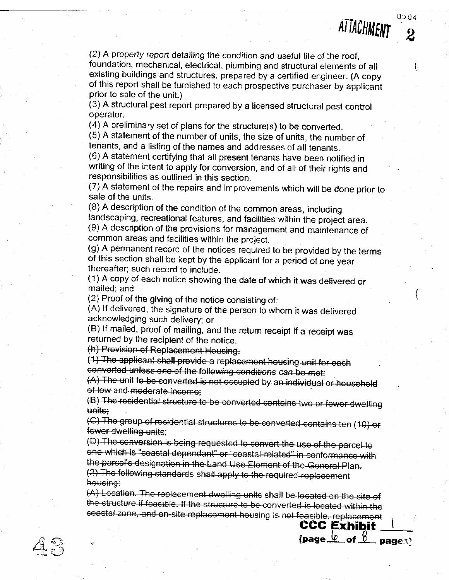(2) A property report detailing the condition and useful life of the roof, foundation, mechanical, electrical, plumbing and structural elements of all existing buildings and structures, prepared by a certified engineer. (A copy of this report shall be furnished to each prospective purchaser by applicant prior to sale of the unit.)

りっぴこ

 $\overline{\mathbf{2}}$ 

**ATTACHMENT** 

(3) A structural pest report prepared by a licensed structural pest control operator.

(4) A preliminary set of plans for the structure(s) to be converted.

(5) A statement of the number of units, the size of units, the number of tenants, and a listing of the names and addresses of all tenants.

(6) A statement certifying that all present tenants have been notified in writing of the intent to apply for conversion, and of all of their rights and responsibilities as outlined in this section.

(7) A statement of the repairs and improvements which will be done prior to sale of the units.

(8) A description of the condition of the common areas, including

landscaping, recreational features, and facilities within the project area. (9) A description of the provisions for management and maintenance of common areas and facilities within the project.

(g) A permanent record of the notices required to be provided by the terms of this section shall be kept by the applicant for a period of one year thereafter; such record to include:

(1) A copy of each notice showing the date of which it was delivered or mailed: and

(2) Proof of the giving of the notice consisting of:

(A) If delivered, the signature of the person to whom it was delivered acknowledging such delivery; or

(B) If mailed, proof of mailing, and the return receipt if a receipt was returned by the recipient of the notice.

(h) Provision of Replacement Housing.

(1) The applicant shall provide a replacement housing unit for each converted unless one of the following conditions can be met:

(A) The unit to be converted is not occupied by an individual or household of low and moderate income;

(B) The residential structure to be converted contains two or fewer dwelling units.

(C) The group of residential structures to be converted contains ten (10) or fewer dwelling units:

(D) The conversion is being requested to convert the use of the parcel to one which is "coastal dependant" or "coastal-related" in conformance with the parcel's designation in the Land Use Element of the General Plan. (2) The following standards shall apply to the required replacement housing:

(A) Location. The replacement dwelling units shall be located on the site of the structure if feasible. If the structure to be converted is located within the coastal zone, and on site replacement housing is not feasible, replacement

**CCC Exhibit** 

(page  $\frac{\varphi}{\sqrt{2}}$  of  $\frac{\varphi}{\sqrt{2}}$  pages)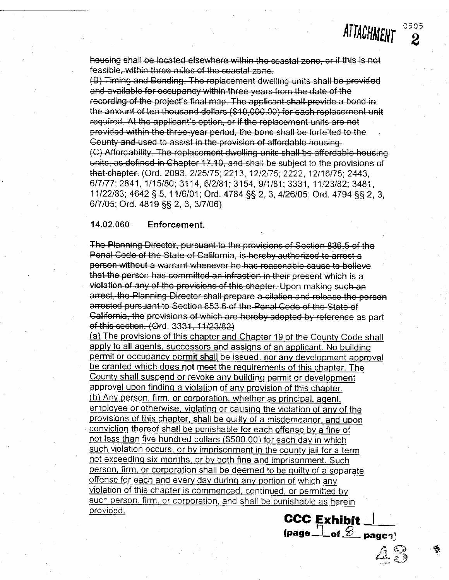housing shall be located elsewhere within the coastal zone, or if this is not feasible, within three miles of the coastal zone.

(B) Timing and Bonding. The replacement dwelling units shall be provided and available for occupancy within three years from the date of the recording of the project's final map. The applicant shall provide a bond in the amount of ten thousand dollars (\$10,000.00) for each replacement unit required. At the applicant's option, or if the replacement units are not provided within the three-year period, the bond shall be forfeited to the County and used to assist in the provision of affordable housing. (C) Affordability. The replacement dwelling units shall be affordable housing units, as defined in Chapter 17.10, and shall be subject to the provisions of that-chapter. (Ord. 2093, 2/25/75; 2213, 12/2/75; 2222, 12/16/75; 2443, 6/7/77; 2841, 1/15/80; 3114, 6/2/81; 3154, 9/1/81; 3331, 11/23/82; 3481, 11/22/83; 4642 § 5, 11/6/01; Ord. 4784 §§ 2, 3, 4/26/05; Ord. 4794 §§ 2, 3, 6/7/05; Ord. 4819 §§ 2, 3, 3/7/06)

#### 14.02.060 Enforcement.

The Planning Director, pursuant to the provisions of Section 836.5 of the Penal Code of the State of California, is hereby authorized to arrest a person without a warrant whenever he has reasonable cause to believe that the person has committed an infraction in their present which is a violation of any of the provisions of this chapter. Upon making such an arrest, the Planning Director shall prepare a citation and release the person arrested pursuant to Section 853.6 of the Penal Code of the State of California, the provisions of which are hereby adopted by reference as part of this section. (Ord. 3331, 11/23/82)

(a) The provisions of this chapter and Chapter 19 of the County Code shall apply to all agents, successors and assigns of an applicant. No building permit or occupancy permit shall be issued, nor any development approval be granted which does not meet the requirements of this chapter. The County shall suspend or revoke any building permit or development approval upon finding a violation of any provision of this chapter. (b) Any person, firm, or corporation, whether as principal, agent, employee or otherwise, violating or causing the violation of any of the provisions of this chapter, shall be quilty of a misdemeanor, and upon conviction thereof shall be punishable for each offense by a fine of not less than five hundred dollars (\$500.00) for each day in which such violation occurs, or by imprisonment in the county jail for a term not exceeding six months, or by both fine and imprisonment. Such person, firm, or corporation shall be deemed to be quilty of a separate offense for each and every day during any portion of which any violation of this chapter is commenced, continued, or permitted by such person, firm, or corporation, and shall be punishable as herein provided. **CCC Exhibit** 

(page  $\sqrt{2}$  of  $\frac{2}{2}$  pages)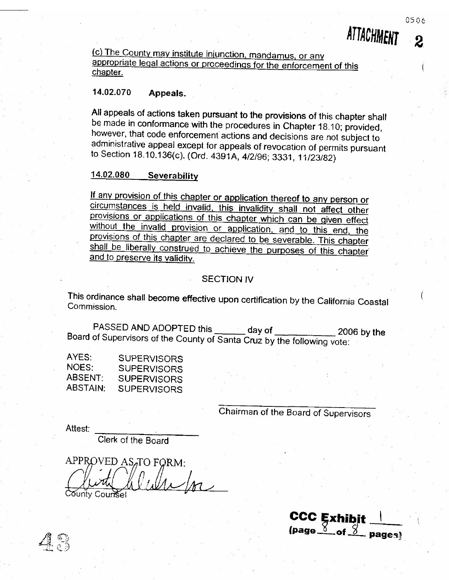(c) The County may institute injunction, mandamus, or any appropriate legal actions or proceedings for the enforcement of this chapter.

#### 14.02.070 Appeals.

All appeals of actions taken pursuant to the provisions of this chapter shall be made in conformance with the procedures in Chapter 18.10; provided, however, that code enforcement actions and decisions are not subject to administrative appeal except for appeals of revocation of permits pursuant to Section 18.10.136(c). (Ord. 4391A, 4/2/96; 3331, 11/23/82)

#### 14.02.080 Severability

If any provision of this chapter or application thereof to any person or circumstances is held invalid, this invalidity shall not affect other provisions or applications of this chapter which can be given effect without the invalid provision or application, and to this end, the provisions of this chapter are declared to be severable. This chapter shall be liberally construed to achieve the purposes of this chapter and to preserve its validity.

## **SECTION IV**

This ordinance shall become effective upon certification by the California Coastal Commission.

PASSED AND ADOPTED this day of  $2006$  by the Board of Supervisors of the County of Santa Cruz by the following vote:

| AYES:               | <b>SUPERVISORS</b> |
|---------------------|--------------------|
| NOES:               | <b>SUPERVISORS</b> |
| ABSENT <sup>.</sup> | <b>SUPERVISORS</b> |
| ABSTAIN:            | <b>SUPERVISORS</b> |

## Chairman of the Board of Supervisors

Attest: Clerk of the Board

APPROVED AS, TO FORM: County Counsel



 $\bf{2}$ 

ATTACHMENT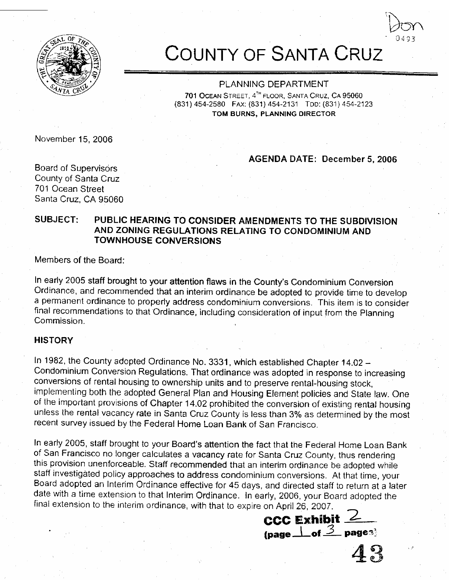

# **COUNTY OF SANTA CRUZ**

## PLANNING DEPARTMENT 701 OCEAN STREET, 4TH FLOOR, SANTA CRUZ, CA 95060 (831) 454-2580 FAX: (831) 454-2131 TDD: (831) 454-2123 TOM BURNS, PLANNING DIRECTOR

November 15, 2006

## **AGENDA DATE: December 5, 2006**

**Board of Supervisors** County of Santa Cruz 701 Ocean Street Santa Cruz, CA 95060

### **SUBJECT:** PUBLIC HEARING TO CONSIDER AMENDMENTS TO THE SUBDIVISION AND ZONING REGULATIONS RELATING TO CONDOMINIUM AND **TOWNHOUSE CONVERSIONS**

Members of the Board:

In early 2005 staff brought to your attention flaws in the County's Condominium Conversion Ordinance, and recommended that an interim ordinance be adopted to provide time to develop a permanent ordinance to properly address condominium conversions. This item is to consider final recommendations to that Ordinance, including consideration of input from the Planning Commission.

## **HISTORY**

In 1982, the County adopted Ordinance No. 3331, which established Chapter 14.02 -Condominium Conversion Regulations. That ordinance was adopted in response to increasing conversions of rental housing to ownership units and to preserve rental-housing stock, implementing both the adopted General Plan and Housing Element policies and State law. One of the important provisions of Chapter 14.02 prohibited the conversion of existing rental housing unless the rental vacancy rate in Santa Cruz County is less than 3% as determined by the most recent survey issued by the Federal Home Loan Bank of San Francisco.

In early 2005, staff brought to your Board's attention the fact that the Federal Home Loan Bank of San Francisco no longer calculates a vacancy rate for Santa Cruz County, thus rendering this provision unenforceable. Staff recommended that an interim ordinance be adopted while staff investigated policy approaches to address condominium conversions. At that time, your Board adopted an Interim Ordinance effective for 45 days, and directed staff to return at a later date with a time extension to that Interim Ordinance. In early, 2006, your Board adopted the final extension to the interim ordinance, with that to expire on April 26, 2007.

CCC Exhibit  $\angle$ (page  $\perp$  of  $\frac{3}{2}$  pages)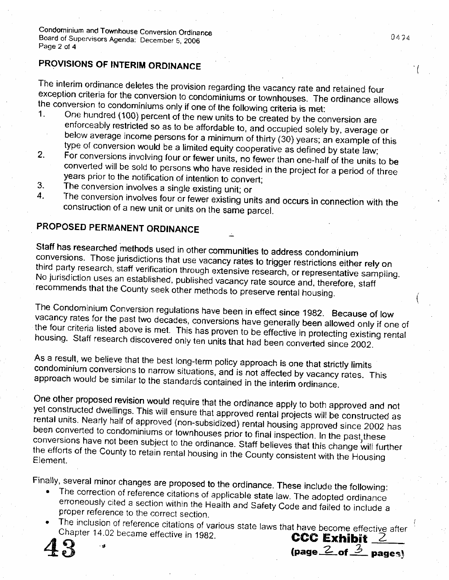Condominium and Townhouse Conversion Ordinance Board of Supervisors Agenda: December 5, 2006 Page 2 of 4

## PROVISIONS OF INTERIM ORDINANCE

The interim ordinance deletes the provision regarding the vacancy rate and retained four exception criteria for the conversion to condominiums or townhouses. The ordinance allows the conversion to condominiums only if one of the following criteria is met:

- One hundred (100) percent of the new units to be created by the conversion are  $1<sub>1</sub>$ enforceably restricted so as to be affordable to, and occupied solely by, average or below average income persons for a minimum of thirty (30) years; an example of this type of conversion would be a limited equity cooperative as defined by state law;
- For conversions involving four or fewer units, no fewer than one-half of the units to be  $2.$ converted will be sold to persons who have resided in the project for a period of three years prior to the notification of intention to convert;
- The conversion involves a single existing unit; or 3.
- The conversion involves four or fewer existing units and occurs in connection with the  $\mathbf{A}_{\perp}$ construction of a new unit or units on the same parcel.

## PROPOSED PERMANENT ORDINANCE

Staff has researched methods used in other communities to address condominium conversions. Those jurisdictions that use vacancy rates to trigger restrictions either rely on third party research, staff verification through extensive research, or representative sampling. No jurisdiction uses an established, published vacancy rate source and, therefore, staff recommends that the County seek other methods to preserve rental housing.

The Condominium Conversion regulations have been in effect since 1982. Because of low vacancy rates for the past two decades, conversions have generally been allowed only if one of the four criteria listed above is met. This has proven to be effective in protecting existing rental housing. Staff research discovered only ten units that had been converted since 2002.

As a result, we believe that the best long-term policy approach is one that strictly limits condominium conversions to narrow situations, and is not affected by vacancy rates. This approach would be similar to the standards contained in the interim ordinance.

One other proposed revision would require that the ordinance apply to both approved and not yet constructed dwellings. This will ensure that approved rental projects will be constructed as rental units. Nearly half of approved (non-subsidized) rental housing approved since 2002 has been converted to condominiums or townhouses prior to final inspection. In the past, these conversions have not been subject to the ordinance. Staff believes that this change will further the efforts of the County to retain rental housing in the County consistent with the Housing Element.

Finally, several minor changes are proposed to the ordinance. These include the following:

- The correction of reference citations of applicable state law. The adopted ordinance  $\bullet$ erroneously cited a section within the Health and Safety Code and failed to include a proper reference to the correct section.
- The inclusion of reference citations of various state laws that have become effective after  $\bullet$  . Chapter 14.02 became effective in 1982. CCC Exhibit  $2$

(page  $2$  of  $3$  pages)

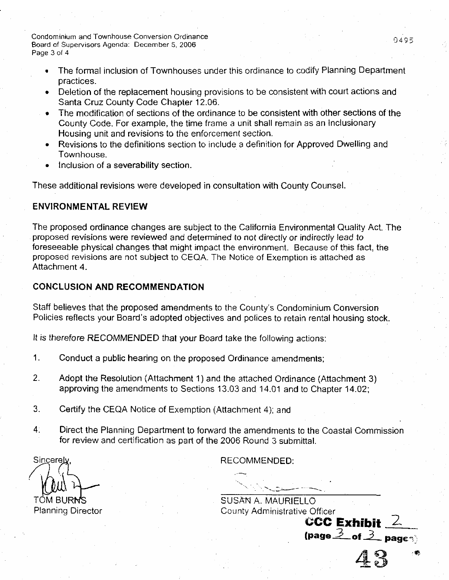Condominium and Townhouse Conversion Ordinance Board of Supervisors Agenda: December 5, 2006 Page 3 of 4

- The formal inclusion of Townhouses under this ordinance to codify Planning Department practices.
- Deletion of the replacement housing provisions to be consistent with court actions and Santa Cruz County Code Chapter 12.06.
- The modification of sections of the ordinance to be consistent with other sections of the County Code, For example, the time frame a unit shall remain as an Inclusionary Housing unit and revisions to the enforcement section.
- Revisions to the definitions section to include a definition for Approved Dwelling and Townhouse.
- Inclusion of a severability section.

These additional revisions were developed in consultation with County Counsel.

## **ENVIRONMENTAL REVIEW**

The proposed ordinance changes are subject to the California Environmental Quality Act. The proposed revisions were reviewed and determined to not directly or indirectly lead to foreseeable physical changes that might impact the environment. Because of this fact, the proposed revisions are not subject to CEQA. The Notice of Exemption is attached as Attachment 4.

## **CONCLUSION AND RECOMMENDATION**

Staff believes that the proposed amendments to the County's Condominium Conversion Policies reflects your Board's adopted objectives and polices to retain rental housing stock.

It is therefore RECOMMENDED that your Board take the following actions:

- $1<sub>1</sub>$ Conduct a public hearing on the proposed Ordinance amendments;
- $2.$ Adopt the Resolution (Attachment 1) and the attached Ordinance (Attachment 3) approving the amendments to Sections 13.03 and 14.01 and to Chapter 14.02;
- 3. Certify the CEQA Notice of Exemption (Attachment 4); and
- $4^{\circ}$ Direct the Planning Department to forward the amendments to the Coastal Commission for review and certification as part of the 2006 Round 3 submittal.

Sincerely

TOM BURNS **Planning Director** 

RECOMMENDED:

SUSAN A. MAURIELLO County Administrative Officer CCC Exhibit  $2$ 

(page  $\frac{3}{2}$  of  $\frac{3}{2}$  page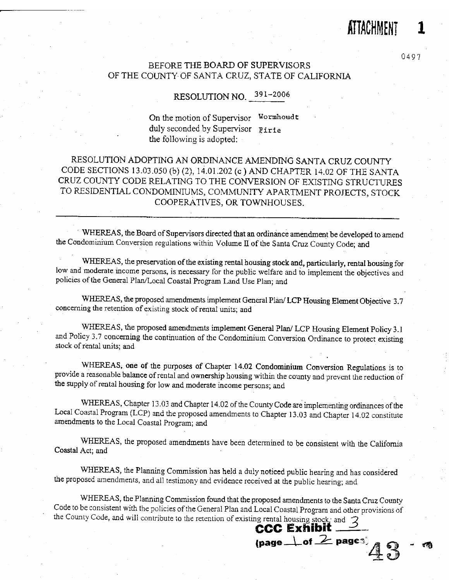# AI IACHMENT

0497

## BEFORE THE BOARD OF SUPERVISORS OF THE COUNTY OF SANTA CRUZ, STATE OF CALIFORNIA

## RESOLUTION NO. 391-2006

On the motion of Supervisor Wormhoudt duly seconded by Supervisor Pirie the following is adopted:

## RESOLUTION ADOPTING AN ORDINANCE AMENDING SANTA CRUZ COUNTY CODE SECTIONS 13.03.050 (b) (2), 14.01.202 (c) AND CHAPTER 14.02 OF THE SANTA CRUZ COUNTY CODE RELATING TO THE CONVERSION OF EXISTING STRUCTURES TO RESIDENTIAL CONDOMINIUMS, COMMUNITY APARTMENT PROJECTS, STOCK COOPERATIVES, OR TOWNHOUSES.

WHEREAS, the Board of Supervisors directed that an ordinance amendment be developed to amend the Condominium Conversion regulations within Volume II of the Santa Cruz County Code; and

WHEREAS, the preservation of the existing rental housing stock and, particularly, rental housing for low and moderate income persons, is necessary for the public welfare and to implement the objectives and policies of the General Plan/Local Coastal Program Land Use Plan; and

WHEREAS, the proposed amendments implement General Plan/LCP Housing Element Objective 3.7 concerning the retention of existing stock of rental units; and

WHEREAS, the proposed amendments implement General Plan/ LCP Housing Element Policy 3.1 and Policy 3.7 concerning the continuation of the Condominium Conversion Ordinance to protect existing stock of rental units; and

WHEREAS, one of the purposes of Chapter 14.02 Condominium Conversion Regulations is to provide a reasonable balance of rental and ownership housing within the county and prevent the reduction of the supply of rental housing for low and moderate income persons; and

WHEREAS, Chapter 13.03 and Chapter 14.02 of the County Code are implementing ordinances of the Local Coastal Program (LCP) and the proposed amendments to Chapter 13.03 and Chapter 14.02 constitute amendments to the Local Coastal Program; and

WHEREAS, the proposed amendments have been determined to be consistent with the California Coastal Act; and

WHEREAS, the Planning Commission has held a duly noticed public hearing and has considered the proposed amendments, and all testimony and evidence received at the public hearing; and

WHEREAS, the Planning Commission found that the proposed amendments to the Santa Cruz County Code to be consistent with the policies of the General Plan and Local Coastal Program and other provisions of the County Code, and will contribute to the retention of existing rental housing stock, and  $\mathcal{C}$  Exhibit  $\frac{1}{2}$ 

(page 1 of 2 pages)